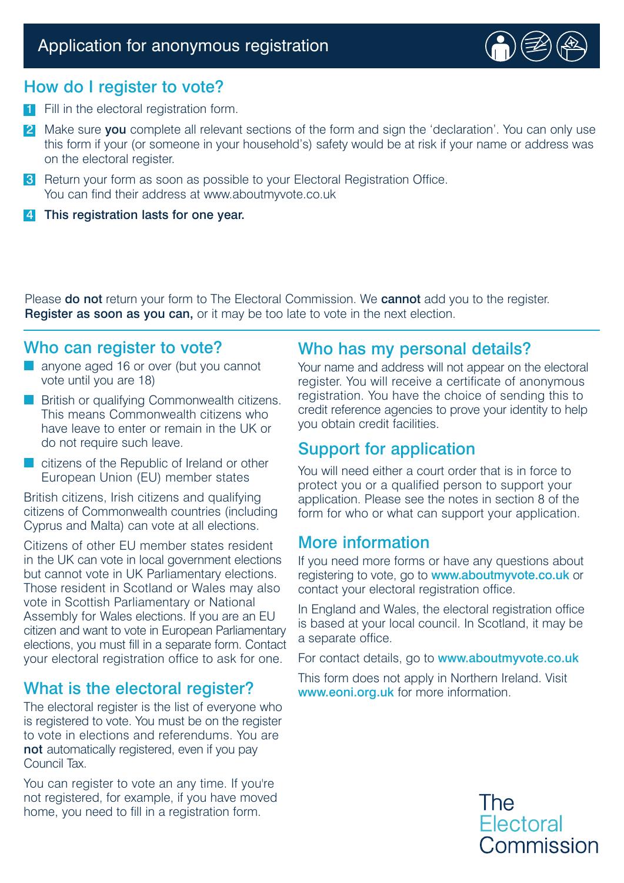

## How do I register to vote?

- **1** Fill in the electoral registration form.
- 2 Make sure you complete all relevant sections of the form and sign the 'declaration'. You can only use this form if your (or someone in your household's) safety would be at risk if your name or address was on the electoral register.
- **3** Return your form as soon as possible to your Electoral Registration Office. You can find their address at www.aboutmyvote.co.uk
- 4 This registration lasts for one year.

Please **do not** return your form to The Electoral Commission. We **cannot** add you to the register. Register as soon as you can, or it may be too late to vote in the next election.

# Who can register to vote?

- anyone aged 16 or over (but you cannot vote until you are 18)
- British or qualifying Commonwealth citizens. This means Commonwealth citizens who have leave to enter or remain in the UK or do not require such leave.
- citizens of the Republic of Ireland or other European Union (EU) member states

British citizens, Irish citizens and qualifying citizens of Commonwealth countries (including Cyprus and Malta) can vote at all elections.

Citizens of other EU member states resident in the UK can vote in local government elections but cannot vote in UK Parliamentary elections. Those resident in Scotland or Wales may also vote in Scottish Parliamentary or National Assembly for Wales elections. If you are an EU citizen and want to vote in European Parliamentary elections, you must fill in a separate form. Contact your electoral registration office to ask for one.

# What is the electoral register?

The electoral register is the list of everyone who is registered to vote. You must be on the register to vote in elections and referendums. You are not automatically registered, even if you pay Council Tax.

You can register to vote an any time. If you're not registered, for example, if you have moved home, you need to fill in a registration form.

# Who has my personal details?

Your name and address will not appear on the electoral register. You will receive a certificate of anonymous registration. You have the choice of sending this to credit reference agencies to prove your identity to help you obtain credit facilities.

# Support for application

You will need either a court order that is in force to protect you or a qualified person to support your application. Please see the notes in section 8 of the form for who or what can support your application.

### More information

If you need more forms or have any questions about registering to vote, go to **www.aboutmyvote.co.uk** or contact your electoral registration office.

In England and Wales, the electoral registration office is based at your local council. In Scotland, it may be a separate office.

For contact details, go to www.aboutmyvote.co.uk

This form does not apply in Northern Ireland. Visit www.eoni.org.uk for more information.

> **The Electoral** Commission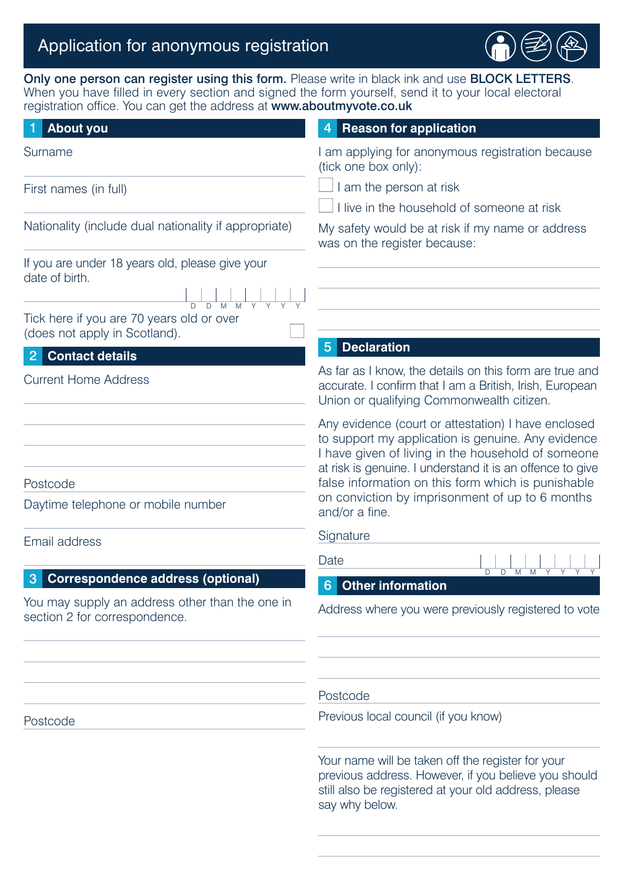# Application for anonymous registration



Only one person can register using this form. Please write in black ink and use **BLOCK LETTERS**. When you have filled in every section and signed the form yourself, send it to your local electoral registration office. You can get the address at www.aboutmyvote.co.uk

### **About you** 1 4 Surname First names (in full) Nationality (include dual nationality if appropriate) If you are under 18 years old, please give your date of birth. Tick here if you are 70 years old or over (does not apply in Scotland). **Contact details** <sup>5</sup> <sup>2</sup> Current Home Address Postcode Daytime telephone or mobile number Email address **Correspondence address (optional)** And Algoritan Correspondence address (optional) You may supply an address other than the one in section 2 for correspondence. Postcode **4** Reason for application I am applying for anonymous registration because (tick one box only):  $\Box$  I am the person at risk  $\Box$  I live in the household of someone at risk My safety would be at risk if my name or address was on the register because: **Declaration** As far as I know, the details on this form are true and accurate. I confirm that I am a British, Irish, European Union or qualifying Commonwealth citizen. Any evidence (court or attestation) I have enclosed to support my application is genuine. Any evidence I have given of living in the household of someone at risk is genuine. I understand it is an offence to give false information on this form which is punishable on conviction by imprisonment of up to 6 months and/or a fine. **Signature** Date **Other information** 6Address where you were previously registered to vote Postcode Previous local council (if you know) Your name will be taken off the register for your D D M M Y Y Y Y

previous address. However, if you believe you should still also be registered at your old address, please say why below.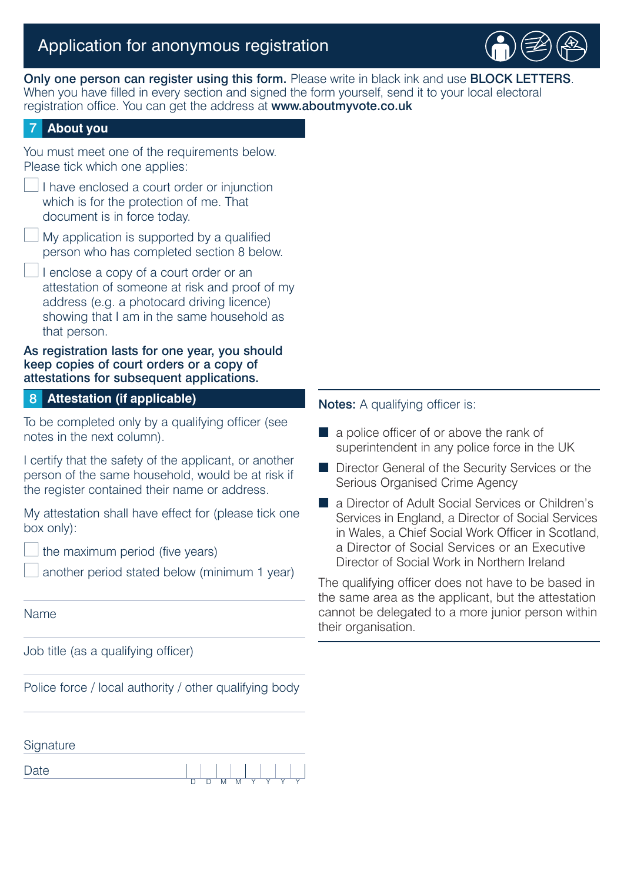# Application for anonymous registration



Only one person can register using this form. Please write in black ink and use BLOCK LETTERS. When you have filled in every section and signed the form yourself, send it to your local electoral registration office. You can get the address at www.aboutmyvote.co.uk

#### **About you** 7

You must meet one of the requirements below. Please tick which one applies:

- I have enclosed a court order or injunction which is for the protection of me. That document is in force today.
- My application is supported by a qualified person who has completed section 8 below.
- I enclose a copy of a court order or an attestation of someone at risk and proof of my address (e.g. a photocard driving licence) showing that I am in the same household as that person.

#### As registration lasts for one year, you should keep copies of court orders or a copy of attestations for subsequent applications.

#### **Attestation (if applicable)** 8

To be completed only by a qualifying officer (see notes in the next column).

I certify that the safety of the applicant, or another person of the same household, would be at risk if the register contained their name or address.

My attestation shall have effect for (please tick one box only):

the maximum period (five years)

another period stated below (minimum 1 year)

#### Name

Job title (as a qualifying officer)

Police force / local authority / other qualifying body

#### Notes: A qualifying officer is:

- a police officer of or above the rank of superintendent in any police force in the UK
- Director General of the Security Services or the Serious Organised Crime Agency
- a Director of Adult Social Services or Children's Services in England, a Director of Social Services in Wales, a Chief Social Work Officer in Scotland, a Director of Social Services or an Executive Director of Social Work in Northern Ireland

The qualifying officer does not have to be based in the same area as the applicant, but the attestation cannot be delegated to a more junior person within their organisation.

| Signature |  |          |  |  |
|-----------|--|----------|--|--|
| Jate      |  |          |  |  |
|           |  | <b>N</b> |  |  |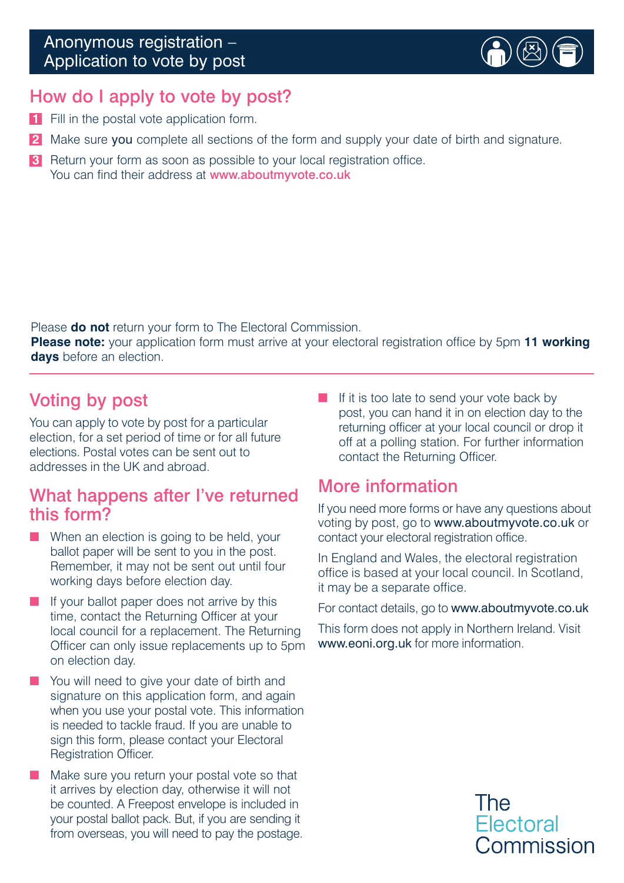

# How do I apply to vote by post?

- **1** Fill in the postal vote application form.
- **2** Make sure you complete all sections of the form and supply your date of birth and signature.
- **3** Return your form as soon as possible to your local registration office. You can find their address at www.aboutmyvote.co.uk

Please **do not** return your form to The Electoral Commission.

**Please note:** your application form must arrive at your electoral registration office by 5pm **11 working days** before an election.

# Voting by post

You can apply to vote by post for a particular election, for a set period of time or for all future elections. Postal votes can be sent out to addresses in the UK and abroad.

# What happens after I've returned this form?

- When an election is going to be held, your ballot paper will be sent to you in the post. Remember, it may not be sent out until four working days before election day.
- If your ballot paper does not arrive by this time, contact the Returning Officer at your local council for a replacement. The Returning Officer can only issue replacements up to 5pm on election day.
- You will need to give your date of birth and signature on this application form, and again when you use your postal vote. This information is needed to tackle fraud. If you are unable to sign this form, please contact your Electoral Registration Officer.
- Make sure you return your postal vote so that it arrives by election day, otherwise it will not be counted. A Freepost envelope is included in your postal ballot pack. But, if you are sending it from overseas, you will need to pay the postage.

■ If it is too late to send your vote back by post, you can hand it in on election day to the returning officer at your local council or drop it off at a polling station. For further information contact the Returning Officer.

# More information

If you need more forms or have any questions about voting by post, go to www.aboutmyvote.co.uk or contact your electoral registration office.

In England and Wales, the electoral registration office is based at your local council. In Scotland, it may be a separate office.

For contact details, go to www.aboutmyvote.co.uk

This form does not apply in Northern Ireland. Visit www.eoni.org.uk for more information.

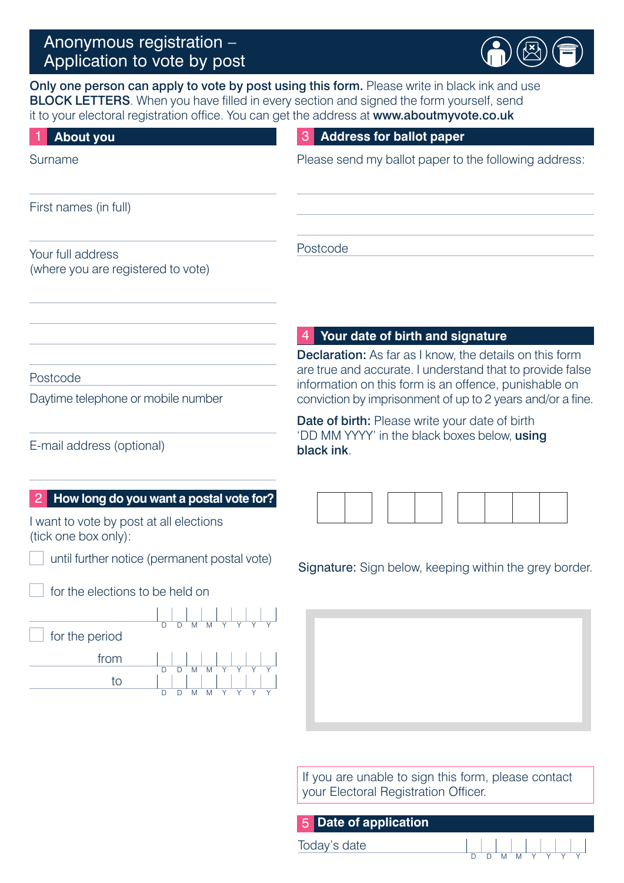

Only one person can apply to vote by post using this form. Please write in black ink and use BLOCK LETTERS. When you have filled in every section and signed the form yourself, send it to your electoral registration office. You can get the address at www.aboutmyvote.co.uk

| <b>About you</b>                                                                                           | <b>Address for ballot paper</b>                                                                                                                                                  |
|------------------------------------------------------------------------------------------------------------|----------------------------------------------------------------------------------------------------------------------------------------------------------------------------------|
| Surname                                                                                                    | Please send my ballot paper to the following address:                                                                                                                            |
| First names (in full)                                                                                      |                                                                                                                                                                                  |
| Your full address<br>(where you are registered to vote)                                                    | Postcode                                                                                                                                                                         |
|                                                                                                            | Your date of birth and signature<br><b>Declaration:</b> As far as I know, the details on this form                                                                               |
| Postcode<br>Daytime telephone or mobile number                                                             | are true and accurate. I understand that to provide false<br>information on this form is an offence, punishable on<br>conviction by imprisonment of up to 2 years and/or a fine. |
| E-mail address (optional)                                                                                  | Date of birth: Please write your date of birth<br>'DD MM YYYY' in the black boxes below, using<br>black ink.                                                                     |
| How long do you want a postal vote for?<br>I want to vote by post at all elections<br>(tick one box only): |                                                                                                                                                                                  |
| until further notice (permanent postal vote)                                                               | <b>Signature:</b> Sign below, keeping within the grey border.                                                                                                                    |
| for the elections to be held on                                                                            |                                                                                                                                                                                  |
| $\overline{D}$<br>$\overline{M}$<br>for the period<br>from<br>to<br>D D M<br>M                             |                                                                                                                                                                                  |

If you are unable to sign this form, please contact your Electoral Registration Officer.

| 5 Date of application |   |  |  |  |  |
|-----------------------|---|--|--|--|--|
| Today's date          | . |  |  |  |  |
|                       |   |  |  |  |  |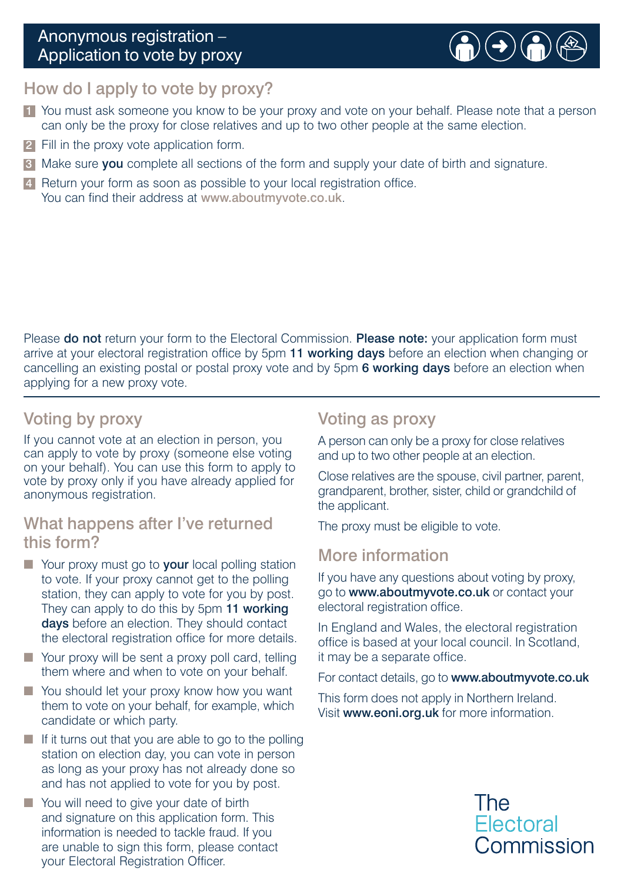# Anonymous registration – Application to vote by proxy



### How do I apply to vote by proxy?

- **1** You must ask someone you know to be your proxy and vote on your behalf. Please note that a person can only be the proxy for close relatives and up to two other people at the same election.
- 2 Fill in the proxy vote application form.
- **3** Make sure you complete all sections of the form and supply your date of birth and signature.
- 4 Return your form as soon as possible to your local registration office. You can find their address at www.aboutmyvote.co.uk.

Please do not return your form to the Electoral Commission. Please note: your application form must arrive at your electoral registration office by 5pm 11 working days before an election when changing or cancelling an existing postal or postal proxy vote and by 5pm 6 working days before an election when applying for a new proxy vote.

# Voting by proxy

If you cannot vote at an election in person, you can apply to vote by proxy (someone else voting on your behalf). You can use this form to apply to vote by proxy only if you have already applied for anonymous registration.

### What happens after I've returned this form?

- Your proxy must go to your local polling station to vote. If your proxy cannot get to the polling station, they can apply to vote for you by post. They can apply to do this by 5pm 11 working days before an election. They should contact the electoral registration office for more details.
- Your proxy will be sent a proxy poll card, telling them where and when to vote on your behalf.
- You should let your proxy know how you want them to vote on your behalf, for example, which candidate or which party.
- If it turns out that you are able to go to the polling station on election day, you can vote in person as long as your proxy has not already done so and has not applied to vote for you by post.
- You will need to give your date of birth and signature on this application form. This information is needed to tackle fraud. If you are unable to sign this form, please contact your Electoral Registration Officer.

# Voting as proxy

A person can only be a proxy for close relatives and up to two other people at an election.

Close relatives are the spouse, civil partner, parent, grandparent, brother, sister, child or grandchild of the applicant.

The proxy must be eligible to vote.

### More information

If you have any questions about voting by proxy, go to www.aboutmyvote.co.uk or contact your electoral registration office.

In England and Wales, the electoral registration office is based at your local council. In Scotland, it may be a separate office.

For contact details, go to www.aboutmyvote.co.uk

This form does not apply in Northern Ireland. Visit www.eoni.org.uk for more information.